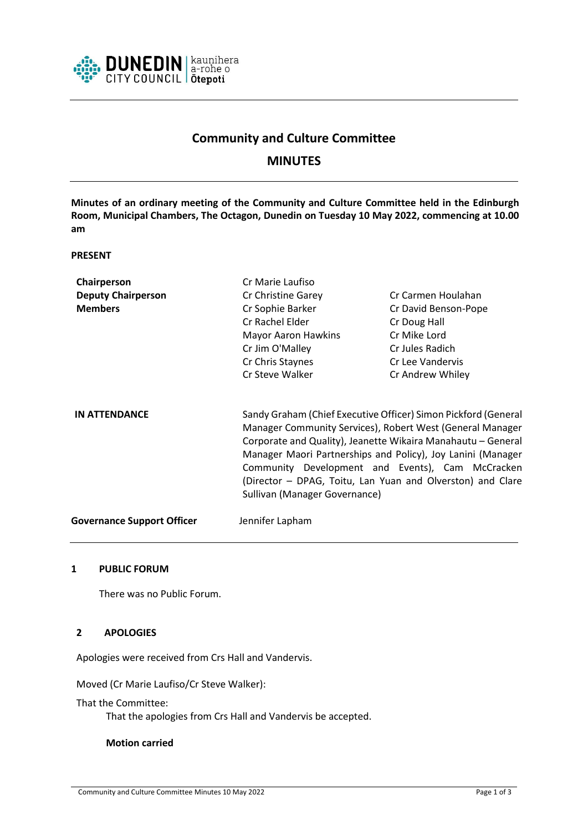

# **Community and Culture Committee**

## **MINUTES**

**Minutes of an ordinary meeting of the Community and Culture Committee held in the Edinburgh Room, Municipal Chambers, The Octagon, Dunedin on Tuesday 10 May 2022, commencing at 10.00 am**

#### **PRESENT**

| Chairperson                       | Cr Marie Laufiso                                                                                                                                                                                                                                                                                                                                                                                              |                      |
|-----------------------------------|---------------------------------------------------------------------------------------------------------------------------------------------------------------------------------------------------------------------------------------------------------------------------------------------------------------------------------------------------------------------------------------------------------------|----------------------|
| <b>Deputy Chairperson</b>         | Cr Christine Garey                                                                                                                                                                                                                                                                                                                                                                                            | Cr Carmen Houlahan   |
| <b>Members</b>                    | Cr Sophie Barker                                                                                                                                                                                                                                                                                                                                                                                              | Cr David Benson-Pope |
|                                   | Cr Rachel Elder                                                                                                                                                                                                                                                                                                                                                                                               | Cr Doug Hall         |
|                                   | <b>Mayor Aaron Hawkins</b>                                                                                                                                                                                                                                                                                                                                                                                    | Cr Mike Lord         |
|                                   | Cr Jim O'Malley                                                                                                                                                                                                                                                                                                                                                                                               | Cr Jules Radich      |
|                                   | Cr Chris Staynes                                                                                                                                                                                                                                                                                                                                                                                              | Cr Lee Vandervis     |
|                                   | Cr Steve Walker                                                                                                                                                                                                                                                                                                                                                                                               | Cr Andrew Whiley     |
| <b>IN ATTENDANCE</b>              | Sandy Graham (Chief Executive Officer) Simon Pickford (General<br>Manager Community Services), Robert West (General Manager<br>Corporate and Quality), Jeanette Wikaira Manahautu - General<br>Manager Maori Partnerships and Policy), Joy Lanini (Manager<br>Community Development and Events), Cam McCracken<br>(Director – DPAG, Toitu, Lan Yuan and Olverston) and Clare<br>Sullivan (Manager Governance) |                      |
| <b>Governance Support Officer</b> | Jennifer Lapham                                                                                                                                                                                                                                                                                                                                                                                               |                      |

### **1 PUBLIC FORUM**

There was no Public Forum.

### **2 APOLOGIES**

Apologies were received from Crs Hall and Vandervis.

Moved (Cr Marie Laufiso/Cr Steve Walker):

That the Committee:

That the apologies from Crs Hall and Vandervis be accepted.

### **Motion carried**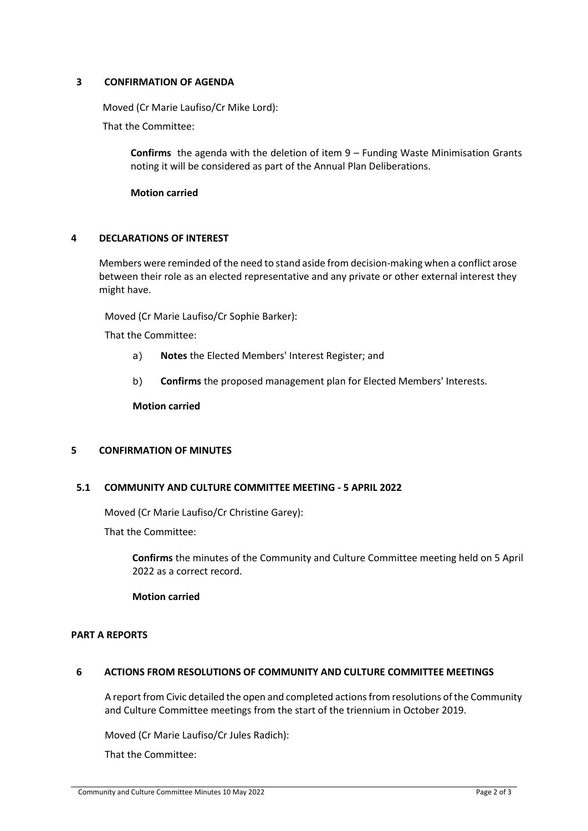## **3 CONFIRMATION OF AGENDA**

Moved (Cr Marie Laufiso/Cr Mike Lord):

That the Committee:

**Confirms** the agenda with the deletion of item 9 – Funding Waste Minimisation Grants noting it will be considered as part of the Annual Plan Deliberations.

**Motion carried**

## **4 DECLARATIONS OF INTEREST**

Members were reminded of the need to stand aside from decision-making when a conflict arose between their role as an elected representative and any private or other external interest they might have.

Moved (Cr Marie Laufiso/Cr Sophie Barker):

That the Committee:

- a) **Notes** the Elected Members' Interest Register; and
- b) **Confirms** the proposed management plan for Elected Members' Interests.

**Motion carried**

### **5 CONFIRMATION OF MINUTES**

### **5.1 COMMUNITY AND CULTURE COMMITTEE MEETING - 5 APRIL 2022**

Moved (Cr Marie Laufiso/Cr Christine Garey):

That the Committee:

**Confirms** the minutes of the Community and Culture Committee meeting held on 5 April 2022 as a correct record.

### **Motion carried**

### **PART A REPORTS**

### **6 ACTIONS FROM RESOLUTIONS OF COMMUNITY AND CULTURE COMMITTEE MEETINGS**

A report from Civic detailed the open and completed actions from resolutions of the Community and Culture Committee meetings from the start of the triennium in October 2019.

Moved (Cr Marie Laufiso/Cr Jules Radich):

That the Committee: